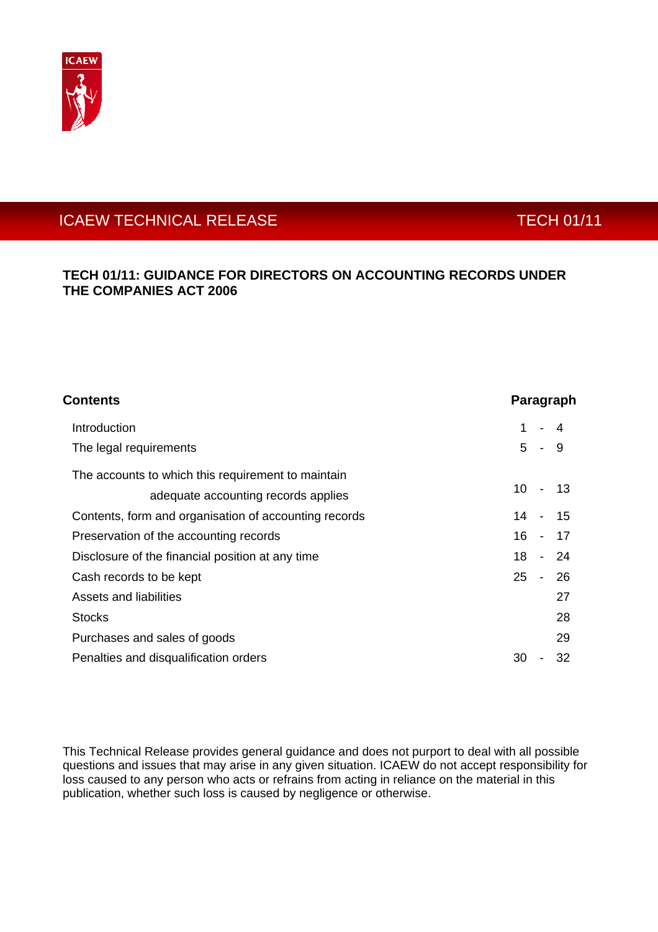

# ICAEW TECHNICAL RELEASE TECHNICAL RELEASE

# **TECH 01/11: GUIDANCE FOR DIRECTORS ON ACCOUNTING RECORDS UNDER THE COMPANIES ACT 2006**

| <b>Contents</b>                                       | Paragraph |                |         |
|-------------------------------------------------------|-----------|----------------|---------|
| <b>Introduction</b>                                   | 1         |                | 4       |
| The legal requirements                                | 5         | $\blacksquare$ | - 9     |
| The accounts to which this requirement to maintain    |           |                |         |
| adequate accounting records applies                   | 10        |                | - 13    |
| Contents, form and organisation of accounting records |           |                | 14 - 15 |
| Preservation of the accounting records                | 16 -      |                | - 17    |
| Disclosure of the financial position at any time      | 18        | $\blacksquare$ | - 24    |
| Cash records to be kept                               | 25        | $\blacksquare$ | - 26    |
| Assets and liabilities                                |           |                | 27      |
| <b>Stocks</b>                                         |           |                | 28      |
| Purchases and sales of goods                          |           |                | 29      |
| Penalties and disqualification orders                 | 30        |                | 32      |

This Technical Release provides general guidance and does not purport to deal with all possible questions and issues that may arise in any given situation. ICAEW do not accept responsibility for loss caused to any person who acts or refrains from acting in reliance on the material in this publication, whether such loss is caused by negligence or otherwise.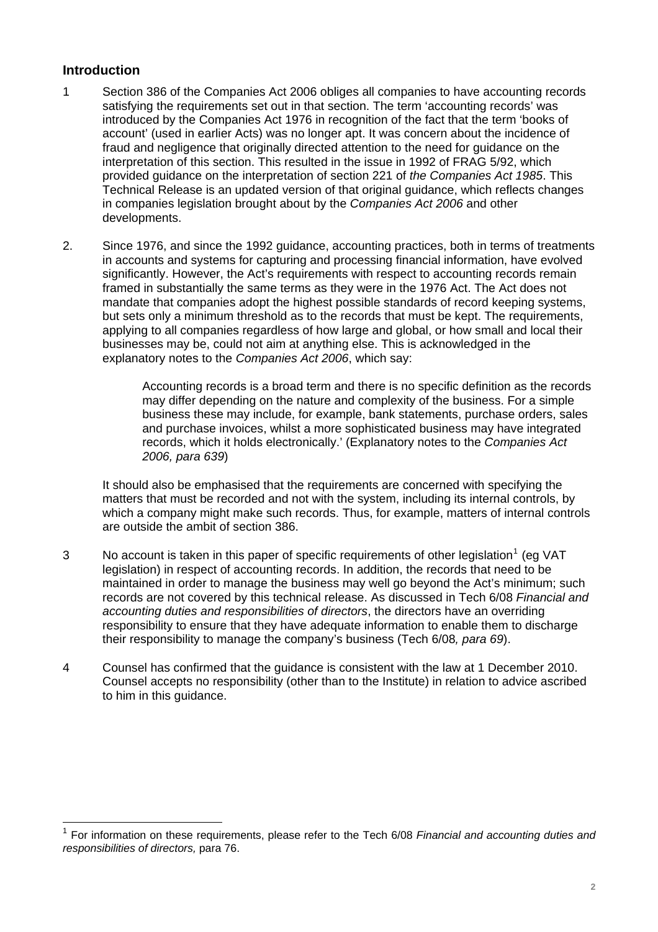## **Introduction**

- 1 Section 386 of the Companies Act 2006 obliges all companies to have accounting records satisfying the requirements set out in that section. The term 'accounting records' was introduced by the Companies Act 1976 in recognition of the fact that the term 'books of account' (used in earlier Acts) was no longer apt. It was concern about the incidence of fraud and negligence that originally directed attention to the need for guidance on the interpretation of this section. This resulted in the issue in 1992 of FRAG 5/92, which provided guidance on the interpretation of section 221 of *the Companies Act 1985*. This Technical Release is an updated version of that original guidance, which reflects changes in companies legislation brought about by the *Companies Act 2006* and other developments.
- 2. Since 1976, and since the 1992 guidance, accounting practices, both in terms of treatments in accounts and systems for capturing and processing financial information, have evolved significantly. However, the Act's requirements with respect to accounting records remain framed in substantially the same terms as they were in the 1976 Act. The Act does not mandate that companies adopt the highest possible standards of record keeping systems, but sets only a minimum threshold as to the records that must be kept. The requirements, applying to all companies regardless of how large and global, or how small and local their businesses may be, could not aim at anything else. This is acknowledged in the explanatory notes to the *Companies Act 2006*, which say:

Accounting records is a broad term and there is no specific definition as the records may differ depending on the nature and complexity of the business. For a simple business these may include, for example, bank statements, purchase orders, sales and purchase invoices, whilst a more sophisticated business may have integrated records, which it holds electronically.' (Explanatory notes to the *Companies Act 2006, para 639*)

It should also be emphasised that the requirements are concerned with specifying the matters that must be recorded and not with the system, including its internal controls, by which a company might make such records. Thus, for example, matters of internal controls are outside the ambit of section 386.

- 3 No account is taken in this paper of specific requirements of other legislation<sup>[1](#page-1-0)</sup> (eg VAT legislation) in respect of accounting records. In addition, the records that need to be maintained in order to manage the business may well go beyond the Act's minimum; such records are not covered by this technical release. As discussed in Tech 6/08 *Financial and accounting duties and responsibilities of directors*, the directors have an overriding responsibility to ensure that they have adequate information to enable them to discharge their responsibility to manage the company's business (Tech 6/08*, para 69*).
- 4 Counsel has confirmed that the guidance is consistent with the law at 1 December 2010. Counsel accepts no responsibility (other than to the Institute) in relation to advice ascribed to him in this guidance.

<span id="page-1-0"></span><sup>1</sup> For information on these requirements, please refer to the Tech 6/08 *Financial and accounting duties and responsibilities of directors,* para 76.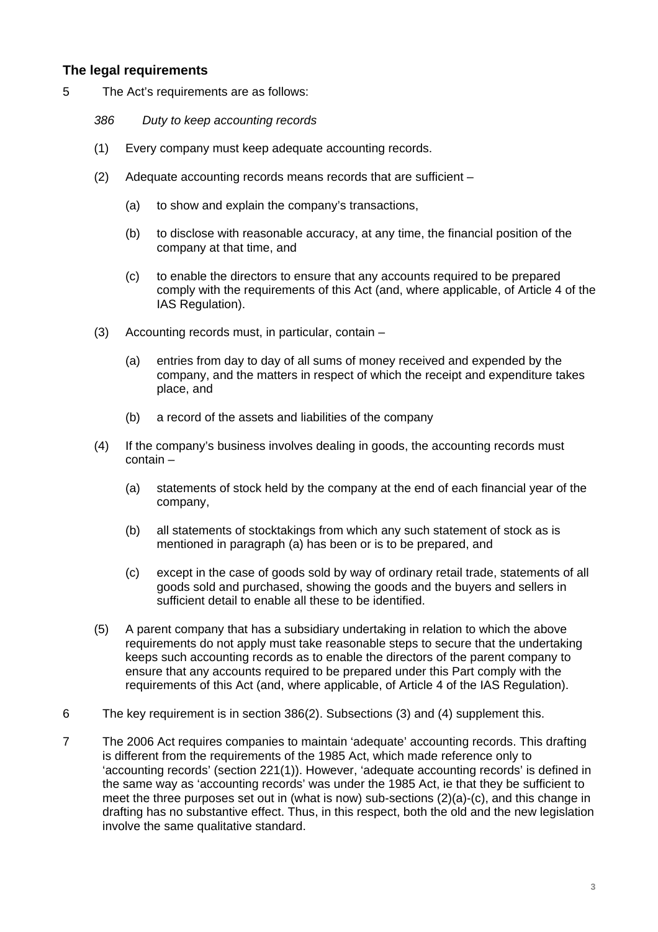# **The legal requirements**

- 5 The Act's requirements are as follows:
	- *386 Duty to keep accounting records*
	- (1) Every company must keep adequate accounting records.
	- (2) Adequate accounting records means records that are sufficient
		- (a) to show and explain the company's transactions,
		- (b) to disclose with reasonable accuracy, at any time, the financial position of the company at that time, and
		- (c) to enable the directors to ensure that any accounts required to be prepared comply with the requirements of this Act (and, where applicable, of Article 4 of the IAS Regulation).
	- (3) Accounting records must, in particular, contain
		- (a) entries from day to day of all sums of money received and expended by the company, and the matters in respect of which the receipt and expenditure takes place, and
		- (b) a record of the assets and liabilities of the company
	- (4) If the company's business involves dealing in goods, the accounting records must contain –
		- (a) statements of stock held by the company at the end of each financial year of the company,
		- (b) all statements of stocktakings from which any such statement of stock as is mentioned in paragraph (a) has been or is to be prepared, and
		- (c) except in the case of goods sold by way of ordinary retail trade, statements of all goods sold and purchased, showing the goods and the buyers and sellers in sufficient detail to enable all these to be identified.
	- (5) A parent company that has a subsidiary undertaking in relation to which the above requirements do not apply must take reasonable steps to secure that the undertaking keeps such accounting records as to enable the directors of the parent company to ensure that any accounts required to be prepared under this Part comply with the requirements of this Act (and, where applicable, of Article 4 of the IAS Regulation).
- 6 The key requirement is in section 386(2). Subsections (3) and (4) supplement this.
- 7 The 2006 Act requires companies to maintain 'adequate' accounting records. This drafting is different from the requirements of the 1985 Act, which made reference only to 'accounting records' (section 221(1)). However, 'adequate accounting records' is defined in the same way as 'accounting records' was under the 1985 Act, ie that they be sufficient to meet the three purposes set out in (what is now) sub-sections (2)(a)-(c), and this change in drafting has no substantive effect. Thus, in this respect, both the old and the new legislation involve the same qualitative standard.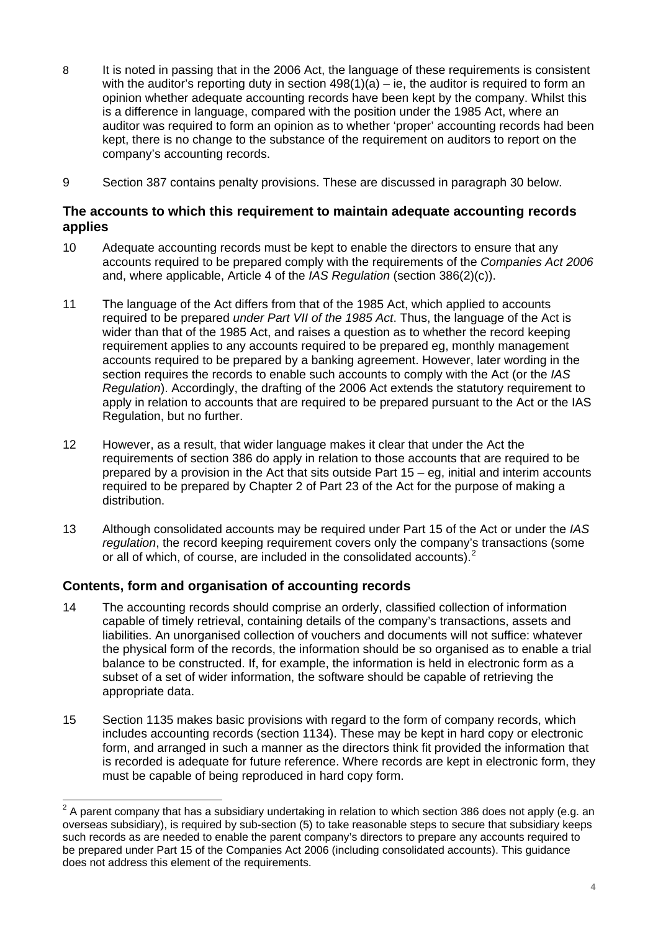- 8 It is noted in passing that in the 2006 Act, the language of these requirements is consistent with the auditor's reporting duty in section  $498(1)(a) - ie$ , the auditor is required to form an opinion whether adequate accounting records have been kept by the company. Whilst this is a difference in language, compared with the position under the 1985 Act, where an auditor was required to form an opinion as to whether 'proper' accounting records had been kept, there is no change to the substance of the requirement on auditors to report on the company's accounting records.
- 9 Section 387 contains penalty provisions. These are discussed in paragraph 30 below.

## **The accounts to which this requirement to maintain adequate accounting records applies**

- 10 Adequate accounting records must be kept to enable the directors to ensure that any accounts required to be prepared comply with the requirements of the *Companies Act 2006* and, where applicable, Article 4 of the *IAS Regulation* (section 386(2)(c)).
- 11 The language of the Act differs from that of the 1985 Act, which applied to accounts required to be prepared *under Part VII of the 1985 Act*. Thus, the language of the Act is wider than that of the 1985 Act, and raises a question as to whether the record keeping requirement applies to any accounts required to be prepared eg, monthly management accounts required to be prepared by a banking agreement. However, later wording in the section requires the records to enable such accounts to comply with the Act (or the *IAS Regulation*). Accordingly, the drafting of the 2006 Act extends the statutory requirement to apply in relation to accounts that are required to be prepared pursuant to the Act or the IAS Regulation, but no further.
- 12 However, as a result, that wider language makes it clear that under the Act the requirements of section 386 do apply in relation to those accounts that are required to be prepared by a provision in the Act that sits outside Part 15 – eg, initial and interim accounts required to be prepared by Chapter 2 of Part 23 of the Act for the purpose of making a distribution.
- 13 Although consolidated accounts may be required under Part 15 of the Act or under the *IAS regulation*, the record keeping requirement covers only the company's transactions (some or all of which, of course, are included in the consolidated accounts).<sup>[2](#page-3-0)</sup>

# **Contents, form and organisation of accounting records**

- 14 The accounting records should comprise an orderly, classified collection of information capable of timely retrieval, containing details of the company's transactions, assets and liabilities. An unorganised collection of vouchers and documents will not suffice: whatever the physical form of the records, the information should be so organised as to enable a trial balance to be constructed. If, for example, the information is held in electronic form as a subset of a set of wider information, the software should be capable of retrieving the appropriate data.
- 15 Section 1135 makes basic provisions with regard to the form of company records, which includes accounting records (section 1134). These may be kept in hard copy or electronic form, and arranged in such a manner as the directors think fit provided the information that is recorded is adequate for future reference. Where records are kept in electronic form, they must be capable of being reproduced in hard copy form.

<span id="page-3-0"></span> 2 A parent company that has a subsidiary undertaking in relation to which section 386 does not apply (e.g. an overseas subsidiary), is required by sub-section (5) to take reasonable steps to secure that subsidiary keeps such records as are needed to enable the parent company's directors to prepare any accounts required to be prepared under Part 15 of the Companies Act 2006 (including consolidated accounts). This guidance does not address this element of the requirements.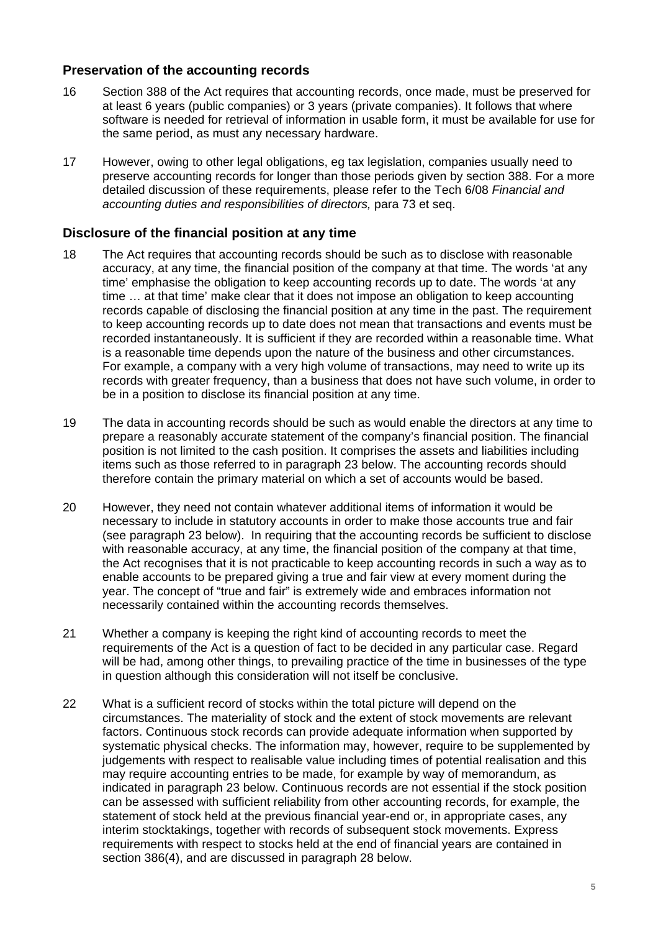# **Preservation of the accounting records**

- 16 Section 388 of the Act requires that accounting records, once made, must be preserved for at least 6 years (public companies) or 3 years (private companies). It follows that where software is needed for retrieval of information in usable form, it must be available for use for the same period, as must any necessary hardware.
- 17 However, owing to other legal obligations, eg tax legislation, companies usually need to preserve accounting records for longer than those periods given by section 388. For a more detailed discussion of these requirements, please refer to the Tech 6/08 *Financial and accounting duties and responsibilities of directors,* para 73 et seq.

#### **Disclosure of the financial position at any time**

- 18 The Act requires that accounting records should be such as to disclose with reasonable accuracy, at any time, the financial position of the company at that time. The words 'at any time' emphasise the obligation to keep accounting records up to date. The words 'at any time … at that time' make clear that it does not impose an obligation to keep accounting records capable of disclosing the financial position at any time in the past. The requirement to keep accounting records up to date does not mean that transactions and events must be recorded instantaneously. It is sufficient if they are recorded within a reasonable time. What is a reasonable time depends upon the nature of the business and other circumstances. For example, a company with a very high volume of transactions, may need to write up its records with greater frequency, than a business that does not have such volume, in order to be in a position to disclose its financial position at any time.
- 19 The data in accounting records should be such as would enable the directors at any time to prepare a reasonably accurate statement of the company's financial position. The financial position is not limited to the cash position. It comprises the assets and liabilities including items such as those referred to in paragraph 23 below. The accounting records should therefore contain the primary material on which a set of accounts would be based.
- 20 However, they need not contain whatever additional items of information it would be necessary to include in statutory accounts in order to make those accounts true and fair (see paragraph 23 below). In requiring that the accounting records be sufficient to disclose with reasonable accuracy, at any time, the financial position of the company at that time, the Act recognises that it is not practicable to keep accounting records in such a way as to enable accounts to be prepared giving a true and fair view at every moment during the year. The concept of "true and fair" is extremely wide and embraces information not necessarily contained within the accounting records themselves.
- 21 Whether a company is keeping the right kind of accounting records to meet the requirements of the Act is a question of fact to be decided in any particular case. Regard will be had, among other things, to prevailing practice of the time in businesses of the type in question although this consideration will not itself be conclusive.
- 22 What is a sufficient record of stocks within the total picture will depend on the circumstances. The materiality of stock and the extent of stock movements are relevant factors. Continuous stock records can provide adequate information when supported by systematic physical checks. The information may, however, require to be supplemented by judgements with respect to realisable value including times of potential realisation and this may require accounting entries to be made, for example by way of memorandum, as indicated in paragraph 23 below. Continuous records are not essential if the stock position can be assessed with sufficient reliability from other accounting records, for example, the statement of stock held at the previous financial year-end or, in appropriate cases, any interim stocktakings, together with records of subsequent stock movements. Express requirements with respect to stocks held at the end of financial years are contained in section 386(4), and are discussed in paragraph 28 below.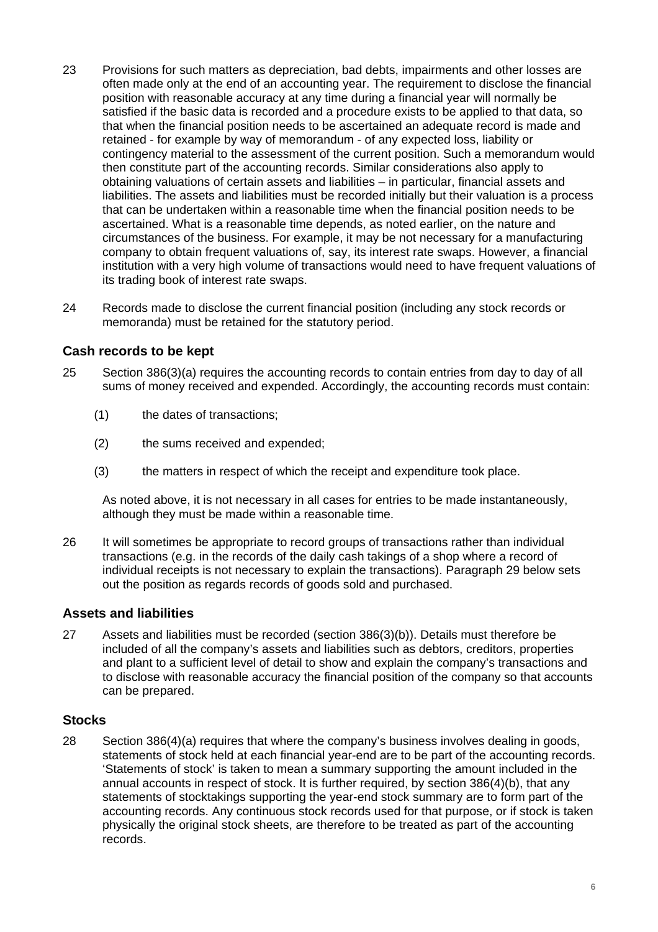- 23 Provisions for such matters as depreciation, bad debts, impairments and other losses are often made only at the end of an accounting year. The requirement to disclose the financial position with reasonable accuracy at any time during a financial year will normally be satisfied if the basic data is recorded and a procedure exists to be applied to that data, so that when the financial position needs to be ascertained an adequate record is made and retained - for example by way of memorandum - of any expected loss, liability or contingency material to the assessment of the current position. Such a memorandum would then constitute part of the accounting records. Similar considerations also apply to obtaining valuations of certain assets and liabilities – in particular, financial assets and liabilities. The assets and liabilities must be recorded initially but their valuation is a process that can be undertaken within a reasonable time when the financial position needs to be ascertained. What is a reasonable time depends, as noted earlier, on the nature and circumstances of the business. For example, it may be not necessary for a manufacturing company to obtain frequent valuations of, say, its interest rate swaps. However, a financial institution with a very high volume of transactions would need to have frequent valuations of its trading book of interest rate swaps.
- 24 Records made to disclose the current financial position (including any stock records or memoranda) must be retained for the statutory period.

#### **Cash records to be kept**

- 25 Section 386(3)(a) requires the accounting records to contain entries from day to day of all sums of money received and expended. Accordingly, the accounting records must contain:
	- (1) the dates of transactions;
	- (2) the sums received and expended;
	- (3) the matters in respect of which the receipt and expenditure took place.

As noted above, it is not necessary in all cases for entries to be made instantaneously, although they must be made within a reasonable time.

26 It will sometimes be appropriate to record groups of transactions rather than individual transactions (e.g. in the records of the daily cash takings of a shop where a record of individual receipts is not necessary to explain the transactions). Paragraph 29 below sets out the position as regards records of goods sold and purchased.

#### **Assets and liabilities**

27 Assets and liabilities must be recorded (section 386(3)(b)). Details must therefore be included of all the company's assets and liabilities such as debtors, creditors, properties and plant to a sufficient level of detail to show and explain the company's transactions and to disclose with reasonable accuracy the financial position of the company so that accounts can be prepared.

#### **Stocks**

28 Section 386(4)(a) requires that where the company's business involves dealing in goods, statements of stock held at each financial year-end are to be part of the accounting records. 'Statements of stock' is taken to mean a summary supporting the amount included in the annual accounts in respect of stock. It is further required, by section 386(4)(b), that any statements of stocktakings supporting the year-end stock summary are to form part of the accounting records. Any continuous stock records used for that purpose, or if stock is taken physically the original stock sheets, are therefore to be treated as part of the accounting records.